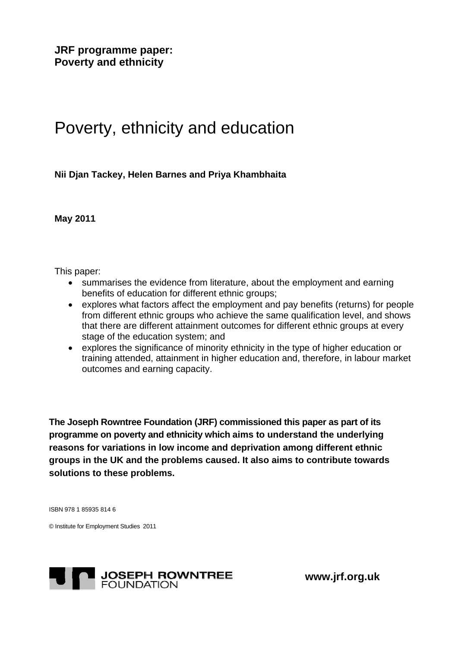**JRF programme paper: Poverty and ethnicity** 

# Poverty, ethnicity and education

**Nii Djan Tackey, Helen Barnes and Priya Khambhaita** 

**May 2011** 

This paper:

- summarises the evidence from literature, about the employment and earning benefits of education for different ethnic groups;
- explores what factors affect the employment and pay benefits (returns) for people from different ethnic groups who achieve the same qualification level, and shows that there are different attainment outcomes for different ethnic groups at every stage of the education system; and
- explores the significance of minority ethnicity in the type of higher education or training attended, attainment in higher education and, therefore, in labour market outcomes and earning capacity.

**The Joseph Rowntree Foundation (JRF) commissioned this paper as part of its programme on poverty and ethnicity which aims to understand the underlying reasons for variations in low income and deprivation among different ethnic groups in the UK and the problems caused. It also aims to contribute towards solutions to these problems.** 

ISBN 978 1 85935 814 6

© Institute for Employment Studies 2011



 **www.jrf.org.uk**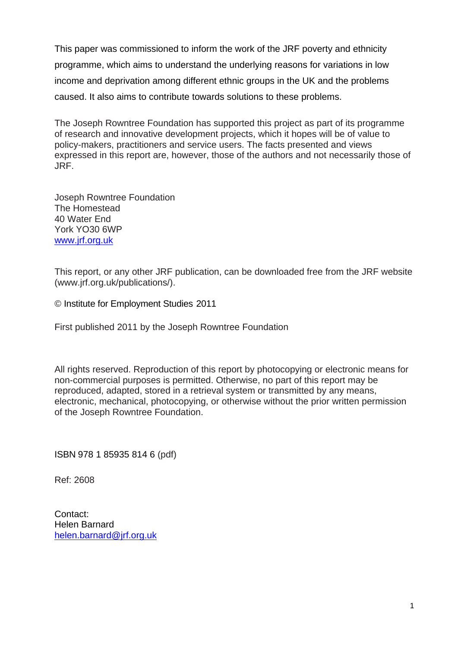This paper was commissioned to inform the work of the JRF poverty and ethnicity programme, which aims to understand the underlying reasons for variations in low income and deprivation among different ethnic groups in the UK and the problems caused. It also aims to contribute towards solutions to these problems.

The Joseph Rowntree Foundation has supported this project as part of its programme of research and innovative development projects, which it hopes will be of value to policy-makers, practitioners and service users. The facts presented and views expressed in this report are, however, those of the authors and not necessarily those of JRF.

Joseph Rowntree Foundation The Homestead 40 Water End York YO30 6WP [www.jrf.org.uk](http://www.jrf.org.uk/)

This report, or any other JRF publication, can be downloaded free from the JRF website (www.jrf.org.uk/publications/).

© Institute for Employment Studies 2011

First published 2011 by the Joseph Rowntree Foundation

All rights reserved. Reproduction of this report by photocopying or electronic means for non-commercial purposes is permitted. Otherwise, no part of this report may be reproduced, adapted, stored in a retrieval system or transmitted by any means, electronic, mechanical, photocopying, or otherwise without the prior written permission of the Joseph Rowntree Foundation.

ISBN 978 1 85935 814 6 (pdf)

Ref: 2608

Contact: Helen Barnard [helen.barnard@jrf.org.uk](mailto:helen.barnard@jrf.org.uk)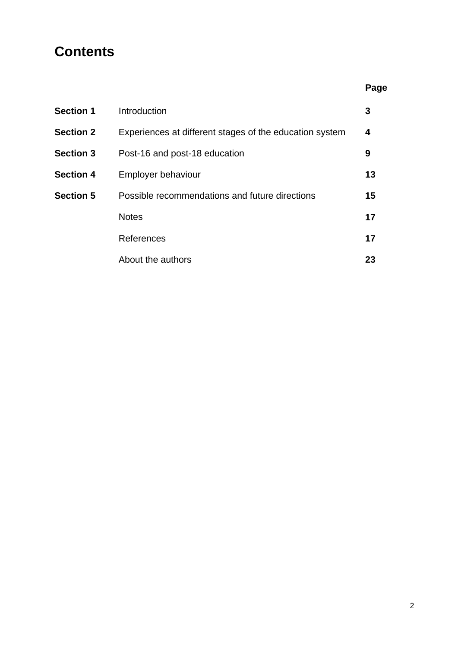### **Contents**

|                  |                                                         | Page |
|------------------|---------------------------------------------------------|------|
| <b>Section 1</b> | Introduction                                            | 3    |
| <b>Section 2</b> | Experiences at different stages of the education system | 4    |
| <b>Section 3</b> | Post-16 and post-18 education                           | 9    |
| <b>Section 4</b> | Employer behaviour                                      | 13   |
| <b>Section 5</b> | Possible recommendations and future directions          | 15   |
|                  | <b>Notes</b>                                            | 17   |
|                  | References                                              | 17   |
|                  | About the authors                                       | 23   |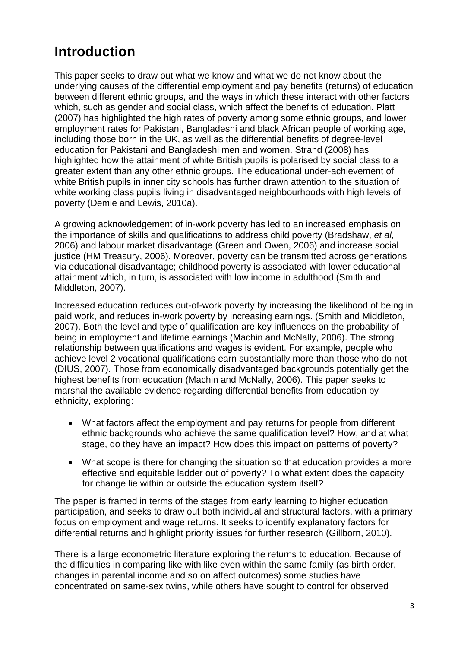## **Introduction**

This paper seeks to draw out what we know and what we do not know about the underlying causes of the differential employment and pay benefits (returns) of education between different ethnic groups, and the ways in which these interact with other factors which, such as gender and social class, which affect the benefits of education. Platt (2007) has highlighted the high rates of poverty among some ethnic groups, and lower employment rates for Pakistani, Bangladeshi and black African people of working age, including those born in the UK, as well as the differential benefits of degree-level education for Pakistani and Bangladeshi men and women. Strand (2008) has highlighted how the attainment of white British pupils is polarised by social class to a greater extent than any other ethnic groups. The educational under-achievement of white British pupils in inner city schools has further drawn attention to the situation of white working class pupils living in disadvantaged neighbourhoods with high levels of poverty (Demie and Lewis, 2010a).

A growing acknowledgement of in-work poverty has led to an increased emphasis on the importance of skills and qualifications to address child poverty (Bradshaw, *et al*, 2006) and labour market disadvantage (Green and Owen, 2006) and increase social justice (HM Treasury, 2006). Moreover, poverty can be transmitted across generations via educational disadvantage; childhood poverty is associated with lower educational attainment which, in turn, is associated with low income in adulthood (Smith and Middleton, 2007).

Increased education reduces out-of-work poverty by increasing the likelihood of being in paid work, and reduces in-work poverty by increasing earnings. (Smith and Middleton, 2007). Both the level and type of qualification are key influences on the probability of being in employment and lifetime earnings (Machin and McNally, 2006). The strong relationship between qualifications and wages is evident. For example, people who achieve level 2 vocational qualifications earn substantially more than those who do not (DIUS, 2007). Those from economically disadvantaged backgrounds potentially get the highest benefits from education (Machin and McNally, 2006). This paper seeks to marshal the available evidence regarding differential benefits from education by ethnicity, exploring:

- What factors affect the employment and pay returns for people from different ethnic backgrounds who achieve the same qualification level? How, and at what stage, do they have an impact? How does this impact on patterns of poverty?
- What scope is there for changing the situation so that education provides a more effective and equitable ladder out of poverty? To what extent does the capacity for change lie within or outside the education system itself?

The paper is framed in terms of the stages from early learning to higher education participation, and seeks to draw out both individual and structural factors, with a primary focus on employment and wage returns. It seeks to identify explanatory factors for differential returns and highlight priority issues for further research (Gillborn, 2010).

There is a large econometric literature exploring the returns to education. Because of the difficulties in comparing like with like even within the same family (as birth order, changes in parental income and so on affect outcomes) some studies have concentrated on same-sex twins, while others have sought to control for observed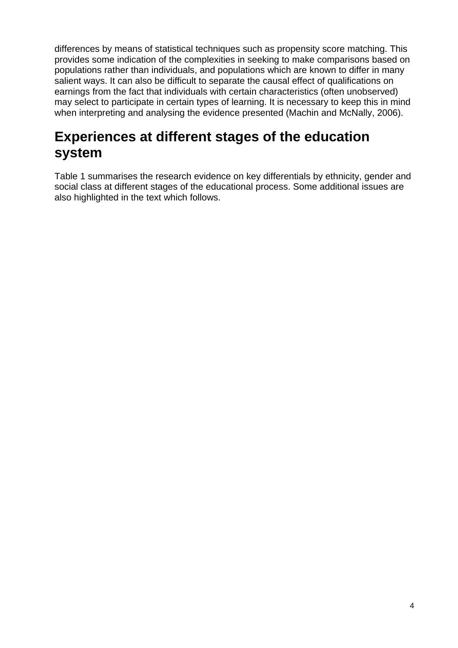differences by means of statistical techniques such as propensity score matching. This provides some indication of the complexities in seeking to make comparisons based on populations rather than individuals, and populations which are known to differ in many salient ways. It can also be difficult to separate the causal effect of qualifications on earnings from the fact that individuals with certain characteristics (often unobserved) may select to participate in certain types of learning. It is necessary to keep this in mind when interpreting and analysing the evidence presented (Machin and McNally, 2006).

### **Experiences at different stages of the education system**

Table 1 summarises the research evidence on key differentials by ethnicity, gender and social class at different stages of the educational process. Some additional issues are also highlighted in the text which follows.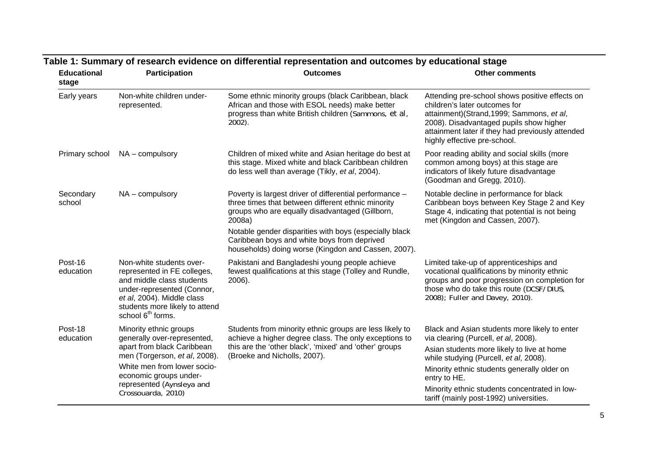| <b>Educational</b><br>stage | Participation                                                                                                                                                                                                                    | <b>Outcomes</b>                                                                                                                                                                                                                                                                                                                            | <b>Other comments</b>                                                                                                                                                                                                                                                                         |
|-----------------------------|----------------------------------------------------------------------------------------------------------------------------------------------------------------------------------------------------------------------------------|--------------------------------------------------------------------------------------------------------------------------------------------------------------------------------------------------------------------------------------------------------------------------------------------------------------------------------------------|-----------------------------------------------------------------------------------------------------------------------------------------------------------------------------------------------------------------------------------------------------------------------------------------------|
| Early years                 | Non-white children under-<br>represented.                                                                                                                                                                                        | Some ethnic minority groups (black Caribbean, black<br>African and those with ESOL needs) make better<br>progress than white British children (Sammons, et al,<br>2002).                                                                                                                                                                   | Attending pre-school shows positive effects on<br>children's later outcomes for<br>attainment)(Strand, 1999; Sammons, et al,<br>2008). Disadvantaged pupils show higher<br>attainment later if they had previously attended<br>highly effective pre-school.                                   |
| Primary school              | $NA$ – compulsory                                                                                                                                                                                                                | Children of mixed white and Asian heritage do best at<br>this stage. Mixed white and black Caribbean children<br>do less well than average (Tikly, et al, 2004).                                                                                                                                                                           | Poor reading ability and social skills (more<br>common among boys) at this stage are<br>indicators of likely future disadvantage<br>(Goodman and Gregg, 2010).                                                                                                                                |
| Secondary<br>school         | $NA$ – compulsory                                                                                                                                                                                                                | Poverty is largest driver of differential performance -<br>three times that between different ethnic minority<br>groups who are equally disadvantaged (Gillborn,<br>2008a)<br>Notable gender disparities with boys (especially black<br>Caribbean boys and white boys from deprived<br>households) doing worse (Kingdon and Cassen, 2007). | Notable decline in performance for black<br>Caribbean boys between Key Stage 2 and Key<br>Stage 4, indicating that potential is not being<br>met (Kingdon and Cassen, 2007).                                                                                                                  |
| Post-16<br>education        | Non-white students over-<br>represented in FE colleges,<br>and middle class students<br>under-represented (Connor,<br>et al, 2004). Middle class<br>students more likely to attend<br>school 6 <sup>th</sup> forms.              | Pakistani and Bangladeshi young people achieve<br>fewest qualifications at this stage (Tolley and Rundle,<br>2006).                                                                                                                                                                                                                        | Limited take-up of apprenticeships and<br>vocational qualifications by minority ethnic<br>groups and poor progression on completion for<br>those who do take this route (DCSF/DIUS,<br>2008); Fuller and Davey, 2010).                                                                        |
| Post-18<br>education        | Minority ethnic groups<br>generally over-represented,<br>apart from black Caribbean<br>men (Torgerson, et al, 2008).<br>White men from lower socio-<br>economic groups under-<br>represented (Aynsleya and<br>Crossouarda, 2010) | Students from minority ethnic groups are less likely to<br>achieve a higher degree class. The only exceptions to<br>this are the 'other black', 'mixed' and 'other' groups<br>(Broeke and Nicholls, 2007).                                                                                                                                 | Black and Asian students more likely to enter<br>via clearing (Purcell, et al, 2008).<br>Asian students more likely to live at home<br>while studying (Purcell, et al, 2008).<br>Minority ethnic students generally older on<br>entry to HE.<br>Minority ethnic students concentrated in low- |

## **Table 1: Summary of research evidence on differential representation and outcomes by educational stage**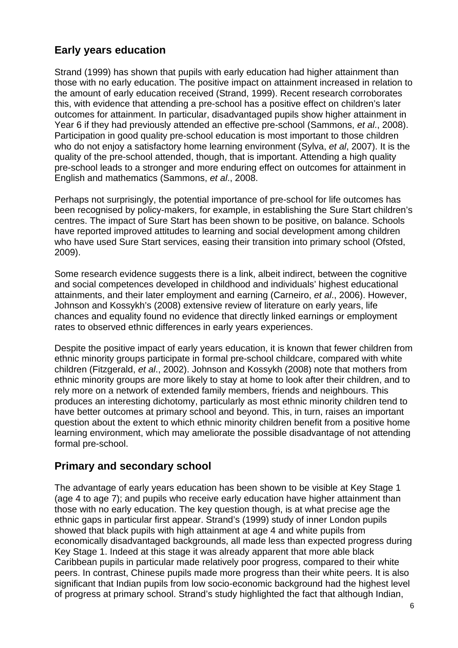### **Early years education**

Strand (1999) has shown that pupils with early education had higher attainment than those with no early education. The positive impact on attainment increased in relation to the amount of early education received (Strand, 1999). Recent research corroborates this, with evidence that attending a pre-school has a positive effect on children's later outcomes for attainment. In particular, disadvantaged pupils show higher attainment in Year 6 if they had previously attended an effective pre-school (Sammons, *et al*., 2008). Participation in good quality pre-school education is most important to those children who do not enjoy a satisfactory home learning environment (Sylva, *et al*, 2007). It is the quality of the pre-school attended, though, that is important. Attending a high quality pre-school leads to a stronger and more enduring effect on outcomes for attainment in English and mathematics (Sammons, *et al*., 2008.

Perhaps not surprisingly, the potential importance of pre-school for life outcomes has been recognised by policy-makers, for example, in establishing the Sure Start children's centres. The impact of Sure Start has been shown to be positive, on balance. Schools have reported improved attitudes to learning and social development among children who have used Sure Start services, easing their transition into primary school (Ofsted, 2009).

Some research evidence suggests there is a link, albeit indirect, between the cognitive and social competences developed in childhood and individuals' highest educational attainments, and their later employment and earning (Carneiro, *et al*., 2006). However, Johnson and Kossykh's (2008) extensive review of literature on early years, life chances and equality found no evidence that directly linked earnings or employment rates to observed ethnic differences in early years experiences.

Despite the positive impact of early years education, it is known that fewer children from ethnic minority groups participate in formal pre-school childcare, compared with white children (Fitzgerald, *et al*., 2002). Johnson and Kossykh (2008) note that mothers from ethnic minority groups are more likely to stay at home to look after their children, and to rely more on a network of extended family members, friends and neighbours. This produces an interesting dichotomy, particularly as most ethnic minority children tend to have better outcomes at primary school and beyond. This, in turn, raises an important question about the extent to which ethnic minority children benefit from a positive home learning environment, which may ameliorate the possible disadvantage of not attending formal pre-school.

### **Primary and secondary school**

The advantage of early years education has been shown to be visible at Key Stage 1 (age 4 to age 7); and pupils who receive early education have higher attainment than those with no early education. The key question though, is at what precise age the ethnic gaps in particular first appear. Strand's (1999) study of inner London pupils showed that black pupils with high attainment at age 4 and white pupils from economically disadvantaged backgrounds, all made less than expected progress during Key Stage 1. Indeed at this stage it was already apparent that more able black Caribbean pupils in particular made relatively poor progress, compared to their white peers. In contrast, Chinese pupils made more progress than their white peers. It is also significant that Indian pupils from low socio-economic background had the highest level of progress at primary school. Strand's study highlighted the fact that although Indian,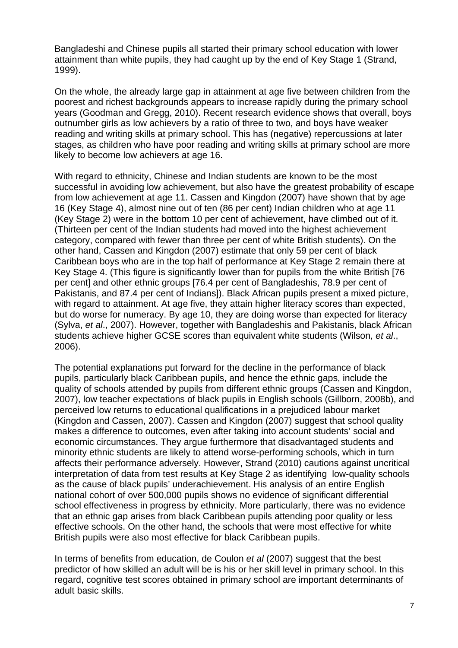Bangladeshi and Chinese pupils all started their primary school education with lower attainment than white pupils, they had caught up by the end of Key Stage 1 (Strand, 1999).

On the whole, the already large gap in attainment at age five between children from the poorest and richest backgrounds appears to increase rapidly during the primary school years (Goodman and Gregg, 2010). Recent research evidence shows that overall, boys outnumber girls as low achievers by a ratio of three to two, and boys have weaker reading and writing skills at primary school. This has (negative) repercussions at later stages, as children who have poor reading and writing skills at primary school are more likely to become low achievers at age 16.

With regard to ethnicity, Chinese and Indian students are known to be the most successful in avoiding low achievement, but also have the greatest probability of escape from low achievement at age 11. Cassen and Kingdon (2007) have shown that by age 16 (Key Stage 4), almost nine out of ten (86 per cent) Indian children who at age 11 (Key Stage 2) were in the bottom 10 per cent of achievement, have climbed out of it. (Thirteen per cent of the Indian students had moved into the highest achievement category, compared with fewer than three per cent of white British students). On the other hand, Cassen and Kingdon (2007) estimate that only 59 per cent of black Caribbean boys who are in the top half of performance at Key Stage 2 remain there at Key Stage 4. (This figure is significantly lower than for pupils from the white British [76 per cent] and other ethnic groups [76.4 per cent of Bangladeshis, 78.9 per cent of Pakistanis, and 87.4 per cent of Indians]). Black African pupils present a mixed picture, with regard to attainment. At age five, they attain higher literacy scores than expected, but do worse for numeracy. By age 10, they are doing worse than expected for literacy (Sylva, *et al*., 2007). However, together with Bangladeshis and Pakistanis, black African students achieve higher GCSE scores than equivalent white students (Wilson, *et al*., 2006).

The potential explanations put forward for the decline in the performance of black pupils, particularly black Caribbean pupils, and hence the ethnic gaps, include the quality of schools attended by pupils from different ethnic groups (Cassen and Kingdon, 2007), low teacher expectations of black pupils in English schools (Gillborn, 2008b), and perceived low returns to educational qualifications in a prejudiced labour market (Kingdon and Cassen, 2007). Cassen and Kingdon (2007) suggest that school quality makes a difference to outcomes, even after taking into account students' social and economic circumstances. They argue furthermore that disadvantaged students and minority ethnic students are likely to attend worse-performing schools, which in turn affects their performance adversely. However, Strand (2010) cautions against uncritical interpretation of data from test results at Key Stage 2 as identifying low-quality schools as the cause of black pupils' underachievement. His analysis of an entire English national cohort of over 500,000 pupils shows no evidence of significant differential school effectiveness in progress by ethnicity. More particularly, there was no evidence that an ethnic gap arises from black Caribbean pupils attending poor quality or less effective schools. On the other hand, the schools that were most effective for white British pupils were also most effective for black Caribbean pupils.

In terms of benefits from education, de Coulon *et al* (2007) suggest that the best predictor of how skilled an adult will be is his or her skill level in primary school. In this regard, cognitive test scores obtained in primary school are important determinants of adult basic skills.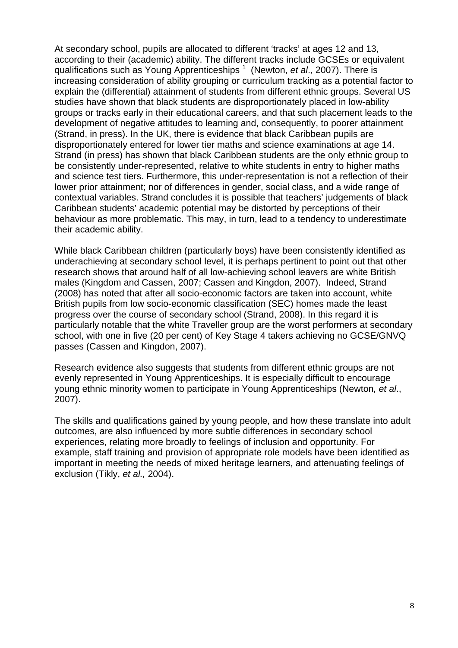At secondary school, pupils are allocated to different 'tracks' at ages 12 and 13, according to their (academic) ability. The different tracks include GCSEs or equivalent qualifications such as Young Apprenticeships <sup>1</sup> (Newton, *et al.*, 2007). There is increasing consideration of ability grouping or curriculum tracking as a potential factor to explain the (differential) attainment of students from different ethnic groups. Several US studies have shown that black students are disproportionately placed in low-ability groups or tracks early in their educational careers, and that such placement leads to the development of negative attitudes to learning and, consequently, to poorer attainment (Strand, in press). In the UK, there is evidence that black Caribbean pupils are disproportionately entered for lower tier maths and science examinations at age 14. Strand (in press) has shown that black Caribbean students are the only ethnic group to be consistently under-represented, relative to white students in entry to higher maths and science test tiers. Furthermore, this under-representation is not a reflection of their lower prior attainment; nor of differences in gender, social class, and a wide range of contextual variables. Strand concludes it is possible that teachers' judgements of black Caribbean students' academic potential may be distorted by perceptions of their behaviour as more problematic. This may, in turn, lead to a tendency to underestimate their academic ability.

While black Caribbean children (particularly boys) have been consistently identified as underachieving at secondary school level, it is perhaps pertinent to point out that other research shows that around half of all low-achieving school leavers are white British males (Kingdom and Cassen, 2007; Cassen and Kingdon, 2007). Indeed, Strand (2008) has noted that after all socio-economic factors are taken into account, white British pupils from low socio-economic classification (SEC) homes made the least progress over the course of secondary school (Strand, 2008). In this regard it is particularly notable that the white Traveller group are the worst performers at secondary school, with one in five (20 per cent) of Key Stage 4 takers achieving no GCSE/GNVQ passes (Cassen and Kingdon, 2007).

Research evidence also suggests that students from different ethnic groups are not evenly represented in Young Apprenticeships. It is especially difficult to encourage young ethnic minority women to participate in Young Apprenticeships (Newton*, et al*., 2007).

The skills and qualifications gained by young people, and how these translate into adult outcomes, are also influenced by more subtle differences in secondary school experiences, relating more broadly to feelings of inclusion and opportunity. For example, staff training and provision of appropriate role models have been identified as important in meeting the needs of mixed heritage learners, and attenuating feelings of exclusion (Tikly, *et al.,* 2004).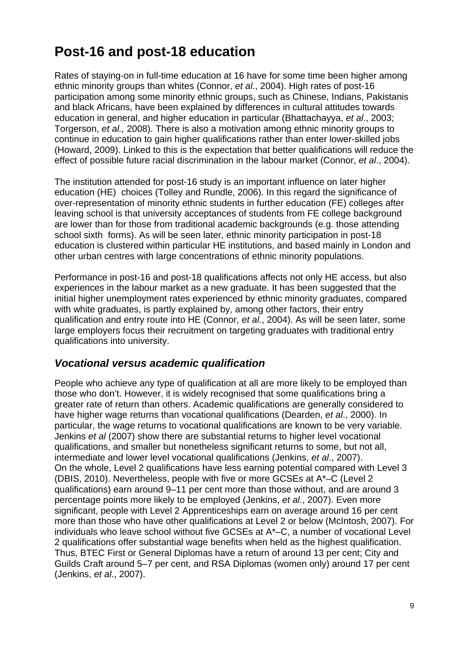### **Post-16 and post-18 education**

Rates of staying-on in full-time education at 16 have for some time been higher among ethnic minority groups than whites (Connor, *et al*., 2004). High rates of post-16 participation among some minority ethnic groups, such as Chinese, Indians, Pakistanis and black Africans, have been explained by differences in cultural attitudes towards education in general, and higher education in particular (Bhattachayya, *et al*., 2003; Torgerson, *et al.,* 2008). There is also a motivation among ethnic minority groups to continue in education to gain higher qualifications rather than enter lower-skilled jobs (Howard, 2009). Linked to this is the expectation that better qualifications will reduce the effect of possible future racial discrimination in the labour market (Connor, *et al*., 2004).

The institution attended for post-16 study is an important influence on later higher education (HE) choices (Tolley and Rundle, 2006). In this regard the significance of over-representation of minority ethnic students in further education (FE) colleges after leaving school is that university acceptances of students from FE college background are lower than for those from traditional academic backgrounds (e.g. those attending school sixth forms). As will be seen later, ethnic minority participation in post-18 education is clustered within particular HE institutions, and based mainly in London and other urban centres with large concentrations of ethnic minority populations.

Performance in post-16 and post-18 qualifications affects not only HE access, but also experiences in the labour market as a new graduate. It has been suggested that the initial higher unemployment rates experienced by ethnic minority graduates, compared with white graduates, is partly explained by, among other factors, their entry qualification and entry route into HE (Connor, *et al*., 2004). As will be seen later, some large employers focus their recruitment on targeting graduates with traditional entry qualifications into university.

#### *Vocational versus academic qualification*

People who achieve any type of qualification at all are more likely to be employed than those who don't. However, it is widely recognised that some qualifications bring a greater rate of return than others. Academic qualifications are generally considered to have higher wage returns than vocational qualifications (Dearden, *et al*., 2000). In particular, the wage returns to vocational qualifications are known to be very variable. Jenkins *et al* (2007) show there are substantial returns to higher level vocational qualifications, and smaller but nonetheless significant returns to some, but not all, intermediate and lower level vocational qualifications (Jenkins, *et al*., 2007). On the whole, Level 2 qualifications have less earning potential compared with Level 3 (DBIS, 2010). Nevertheless, people with five or more GCSEs at A\*–C (Level 2 qualifications) earn around 9–11 per cent more than those without, and are around 3 percentage points more likely to be employed (Jenkins, *et al*., 2007). Even more significant, people with Level 2 Apprenticeships earn on average around 16 per cent more than those who have other qualifications at Level 2 or below (McIntosh, 2007). For individuals who leave school without five GCSEs at A\*–C, a number of vocational Level 2 qualifications offer substantial wage benefits when held as the highest qualification. Thus, BTEC First or General Diplomas have a return of around 13 per cent; City and Guilds Craft around 5–7 per cent, and RSA Diplomas (women only) around 17 per cent (Jenkins, *et al*., 2007).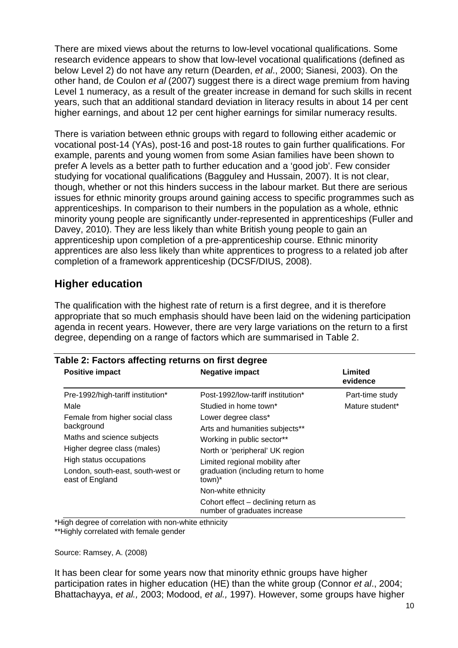There are mixed views about the returns to low-level vocational qualifications. Some research evidence appears to show that low-level vocational qualifications (defined as below Level 2) do not have any return (Dearden, *et al*., 2000; Sianesi, 2003). On the other hand, de Coulon *et al* (2007) suggest there is a direct wage premium from having Level 1 numeracy, as a result of the greater increase in demand for such skills in recent years, such that an additional standard deviation in literacy results in about 14 per cent higher earnings, and about 12 per cent higher earnings for similar numeracy results.

There is variation between ethnic groups with regard to following either academic or vocational post-14 (YAs), post-16 and post-18 routes to gain further qualifications. For example, parents and young women from some Asian families have been shown to prefer A levels as a better path to further education and a 'good job'. Few consider studying for vocational qualifications (Bagguley and Hussain, 2007). It is not clear, though, whether or not this hinders success in the labour market. But there are serious issues for ethnic minority groups around gaining access to specific programmes such as apprenticeships. In comparison to their numbers in the population as a whole, ethnic minority young people are significantly under-represented in apprenticeships (Fuller and Davey, 2010). They are less likely than white British young people to gain an apprenticeship upon completion of a pre-apprenticeship course. Ethnic minority apprentices are also less likely than white apprentices to progress to a related job after completion of a framework apprenticeship (DCSF/DIUS, 2008).

#### **Higher education**

The qualification with the highest rate of return is a first degree, and it is therefore appropriate that so much emphasis should have been laid on the widening participation agenda in recent years. However, there are very large variations on the return to a first degree, depending on a range of factors which are summarised in Table 2.

| <b>Positive impact</b>                                    | <b>Negative impact</b>                                              | Limited<br>evidence |
|-----------------------------------------------------------|---------------------------------------------------------------------|---------------------|
| Pre-1992/high-tariff institution*                         | Post-1992/low-tariff institution*                                   | Part-time study     |
| Male                                                      | Studied in home town*                                               | Mature student*     |
| Female from higher social class<br>background             | Lower degree class*<br>Arts and humanities subjects**               |                     |
| Maths and science subjects<br>Higher degree class (males) | Working in public sector**<br>North or 'peripheral' UK region       |                     |
| High status occupations                                   | Limited regional mobility after                                     |                     |
| London, south-east, south-west or<br>east of England      | graduation (including return to home<br>town)*                      |                     |
|                                                           | Non-white ethnicity                                                 |                     |
|                                                           | Cohort effect – declining return as<br>number of graduates increase |                     |

\*High degree of correlation with non-white ethnicity

\*\*Highly correlated with female gender

Source: Ramsey, A. (2008)

It has been clear for some years now that minority ethnic groups have higher participation rates in higher education (HE) than the white group (Connor *et al*., 2004; Bhattachayya, *et al.,* 2003; Modood, *et al.,* 1997). However, some groups have higher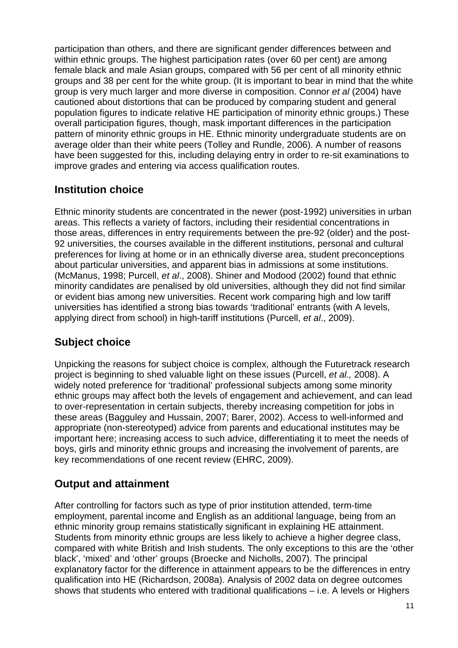participation than others, and there are significant gender differences between and within ethnic groups. The highest participation rates (over 60 per cent) are among female black and male Asian groups, compared with 56 per cent of all minority ethnic groups and 38 per cent for the white group. (It is important to bear in mind that the white group is very much larger and more diverse in composition. Connor *et al* (2004) have cautioned about distortions that can be produced by comparing student and general population figures to indicate relative HE participation of minority ethnic groups.) These overall participation figures, though, mask important differences in the participation pattern of minority ethnic groups in HE. Ethnic minority undergraduate students are on average older than their white peers (Tolley and Rundle, 2006). A number of reasons have been suggested for this, including delaying entry in order to re-sit examinations to improve grades and entering via access qualification routes.

### **Institution choice**

Ethnic minority students are concentrated in the newer (post-1992) universities in urban areas. This reflects a variety of factors, including their residential concentrations in those areas, differences in entry requirements between the pre-92 (older) and the post-92 universities, the courses available in the different institutions, personal and cultural preferences for living at home or in an ethnically diverse area, student preconceptions about particular universities, and apparent bias in admissions at some institutions. (McManus, 1998; Purcell, *et al*., 2008). Shiner and Modood (2002) found that ethnic minority candidates are penalised by old universities, although they did not find similar or evident bias among new universities. Recent work comparing high and low tariff universities has identified a strong bias towards 'traditional' entrants (with A levels, applying direct from school) in high-tariff institutions (Purcell, *et al*., 2009).

### **Subject choice**

Unpicking the reasons for subject choice is complex, although the Futuretrack research project is beginning to shed valuable light on these issues (Purcell, *et al.,* 2008). A widely noted preference for 'traditional' professional subjects among some minority ethnic groups may affect both the levels of engagement and achievement, and can lead to over-representation in certain subjects, thereby increasing competition for jobs in these areas (Bagguley and Hussain, 2007; Barer, 2002). Access to well-informed and appropriate (non-stereotyped) advice from parents and educational institutes may be important here; increasing access to such advice, differentiating it to meet the needs of boys, girls and minority ethnic groups and increasing the involvement of parents, are key recommendations of one recent review (EHRC, 2009).

### **Output and attainment**

After controlling for factors such as type of prior institution attended, term-time employment, parental income and English as an additional language, being from an ethnic minority group remains statistically significant in explaining HE attainment. Students from minority ethnic groups are less likely to achieve a higher degree class, compared with white British and Irish students. The only exceptions to this are the 'other black', 'mixed' and 'other' groups (Broecke and Nicholls, 2007). The principal explanatory factor for the difference in attainment appears to be the differences in entry qualification into HE (Richardson, 2008a). Analysis of 2002 data on degree outcomes shows that students who entered with traditional qualifications – i.e. A levels or Highers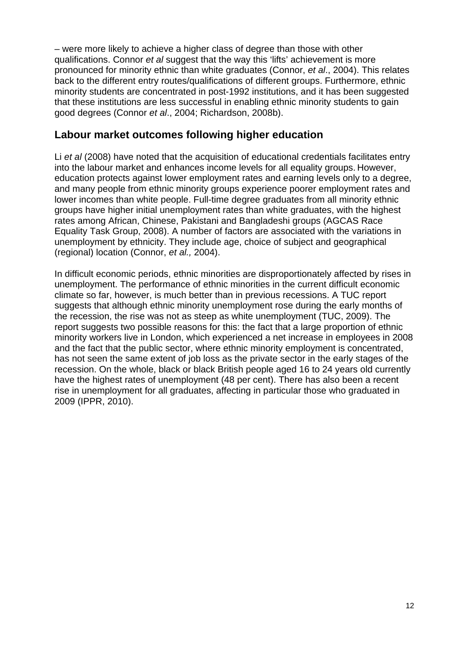– were more likely to achieve a higher class of degree than those with other qualifications. Connor *et al* suggest that the way this 'lifts' achievement is more pronounced for minority ethnic than white graduates (Connor, *et al*., 2004). This relates back to the different entry routes/qualifications of different groups. Furthermore, ethnic minority students are concentrated in post-1992 institutions, and it has been suggested that these institutions are less successful in enabling ethnic minority students to gain good degrees (Connor *et al*., 2004; Richardson, 2008b).

#### **Labour market outcomes following higher education**

Li *et al* (2008) have noted that the acquisition of educational credentials facilitates entry into the labour market and enhances income levels for all equality groups. However, education protects against lower employment rates and earning levels only to a degree, and many people from ethnic minority groups experience poorer employment rates and lower incomes than white people. Full-time degree graduates from all minority ethnic groups have higher initial unemployment rates than white graduates, with the highest rates among African, Chinese, Pakistani and Bangladeshi groups (AGCAS Race Equality Task Group, 2008). A number of factors are associated with the variations in unemployment by ethnicity. They include age, choice of subject and geographical (regional) location (Connor, *et al.,* 2004).

In difficult economic periods, ethnic minorities are disproportionately affected by rises in unemployment. The performance of ethnic minorities in the current difficult economic climate so far, however, is much better than in previous recessions. A TUC report suggests that although ethnic minority unemployment rose during the early months of the recession, the rise was not as steep as white unemployment (TUC, 2009). The report suggests two possible reasons for this: the fact that a large proportion of ethnic minority workers live in London, which experienced a net increase in employees in 2008 and the fact that the public sector, where ethnic minority employment is concentrated, has not seen the same extent of job loss as the private sector in the early stages of the recession. On the whole, black or black British people aged 16 to 24 years old currently have the highest rates of unemployment (48 per cent). There has also been a recent rise in unemployment for all graduates, affecting in particular those who graduated in 2009 (IPPR, 2010).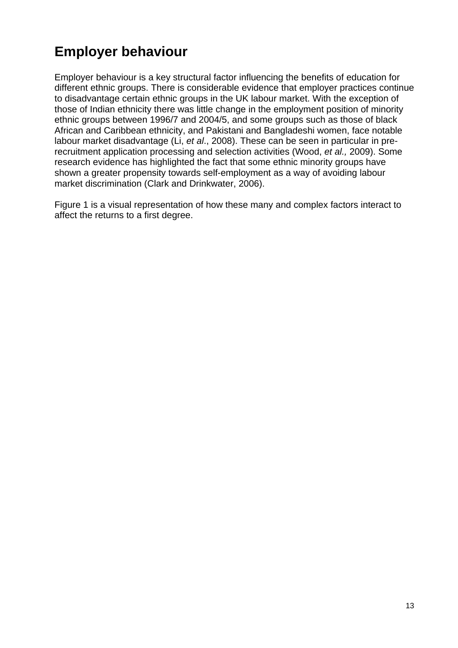## **Employer behaviour**

Employer behaviour is a key structural factor influencing the benefits of education for different ethnic groups. There is considerable evidence that employer practices continue to disadvantage certain ethnic groups in the UK labour market. With the exception of those of Indian ethnicity there was little change in the employment position of minority ethnic groups between 1996/7 and 2004/5, and some groups such as those of black African and Caribbean ethnicity, and Pakistani and Bangladeshi women, face notable labour market disadvantage (Li, *et al*., 2008). These can be seen in particular in prerecruitment application processing and selection activities (Wood, *et al.,* 2009). Some research evidence has highlighted the fact that some ethnic minority groups have shown a greater propensity towards self-employment as a way of avoiding labour market discrimination (Clark and Drinkwater, 2006).

Figure 1 is a visual representation of how these many and complex factors interact to affect the returns to a first degree.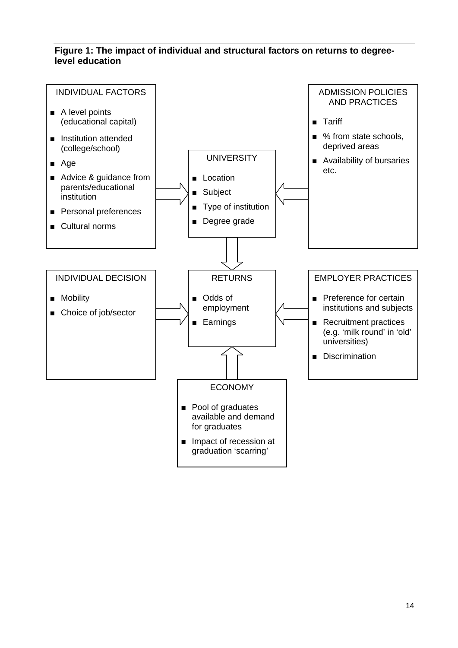#### **Figure 1: The impact of individual and structural factors on returns to degreelevel education**

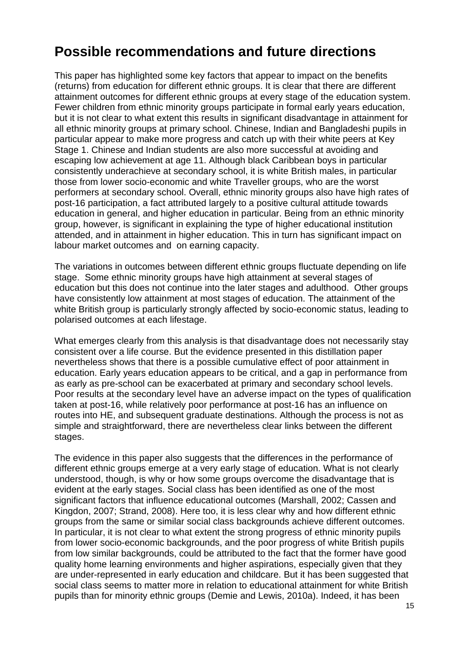### **Possible recommendations and future directions**

This paper has highlighted some key factors that appear to impact on the benefits (returns) from education for different ethnic groups. It is clear that there are different attainment outcomes for different ethnic groups at every stage of the education system. Fewer children from ethnic minority groups participate in formal early years education, but it is not clear to what extent this results in significant disadvantage in attainment for all ethnic minority groups at primary school. Chinese, Indian and Bangladeshi pupils in particular appear to make more progress and catch up with their white peers at Key Stage 1. Chinese and Indian students are also more successful at avoiding and escaping low achievement at age 11. Although black Caribbean boys in particular consistently underachieve at secondary school, it is white British males, in particular those from lower socio-economic and white Traveller groups, who are the worst performers at secondary school. Overall, ethnic minority groups also have high rates of post-16 participation, a fact attributed largely to a positive cultural attitude towards education in general, and higher education in particular. Being from an ethnic minority group, however, is significant in explaining the type of higher educational institution attended, and in attainment in higher education. This in turn has significant impact on labour market outcomes and on earning capacity.

The variations in outcomes between different ethnic groups fluctuate depending on life stage. Some ethnic minority groups have high attainment at several stages of education but this does not continue into the later stages and adulthood. Other groups have consistently low attainment at most stages of education. The attainment of the white British group is particularly strongly affected by socio-economic status, leading to polarised outcomes at each lifestage.

What emerges clearly from this analysis is that disadvantage does not necessarily stay consistent over a life course. But the evidence presented in this distillation paper nevertheless shows that there is a possible cumulative effect of poor attainment in education. Early years education appears to be critical, and a gap in performance from as early as pre-school can be exacerbated at primary and secondary school levels. Poor results at the secondary level have an adverse impact on the types of qualification taken at post-16, while relatively poor performance at post-16 has an influence on routes into HE, and subsequent graduate destinations. Although the process is not as simple and straightforward, there are nevertheless clear links between the different stages.

The evidence in this paper also suggests that the differences in the performance of different ethnic groups emerge at a very early stage of education. What is not clearly understood, though, is why or how some groups overcome the disadvantage that is evident at the early stages. Social class has been identified as one of the most significant factors that influence educational outcomes (Marshall, 2002; Cassen and Kingdon, 2007; Strand, 2008). Here too, it is less clear why and how different ethnic groups from the same or similar social class backgrounds achieve different outcomes. In particular, it is not clear to what extent the strong progress of ethnic minority pupils from lower socio-economic backgrounds, and the poor progress of white British pupils from low similar backgrounds, could be attributed to the fact that the former have good quality home learning environments and higher aspirations, especially given that they are under-represented in early education and childcare. But it has been suggested that social class seems to matter more in relation to educational attainment for white British pupils than for minority ethnic groups (Demie and Lewis, 2010a). Indeed, it has been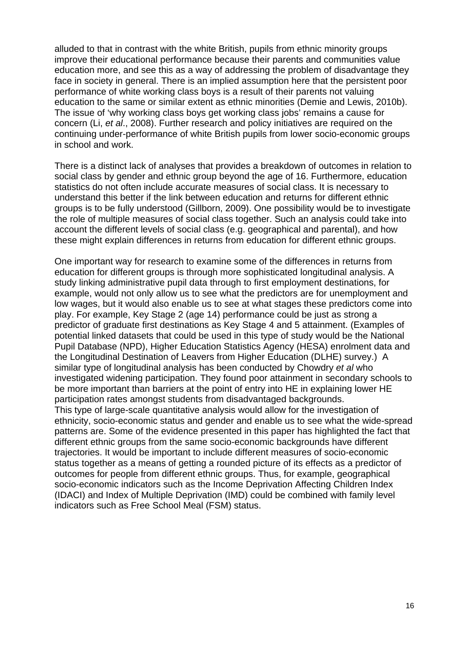alluded to that in contrast with the white British, pupils from ethnic minority groups improve their educational performance because their parents and communities value education more, and see this as a way of addressing the problem of disadvantage they face in society in general. There is an implied assumption here that the persistent poor performance of white working class boys is a result of their parents not valuing education to the same or similar extent as ethnic minorities (Demie and Lewis, 2010b). The issue of 'why working class boys get working class jobs' remains a cause for concern (Li, *et al*., 2008). Further research and policy initiatives are required on the continuing under-performance of white British pupils from lower socio-economic groups in school and work.

There is a distinct lack of analyses that provides a breakdown of outcomes in relation to social class by gender and ethnic group beyond the age of 16. Furthermore, education statistics do not often include accurate measures of social class. It is necessary to understand this better if the link between education and returns for different ethnic groups is to be fully understood (Gillborn, 2009). One possibility would be to investigate the role of multiple measures of social class together. Such an analysis could take into account the different levels of social class (e.g. geographical and parental), and how these might explain differences in returns from education for different ethnic groups.

One important way for research to examine some of the differences in returns from education for different groups is through more sophisticated longitudinal analysis. A study linking administrative pupil data through to first employment destinations, for example, would not only allow us to see what the predictors are for unemployment and low wages, but it would also enable us to see at what stages these predictors come into play. For example, Key Stage 2 (age 14) performance could be just as strong a predictor of graduate first destinations as Key Stage 4 and 5 attainment. (Examples of potential linked datasets that could be used in this type of study would be the National Pupil Database (NPD), Higher Education Statistics Agency (HESA) enrolment data and the Longitudinal Destination of Leavers from Higher Education (DLHE) survey.) A similar type of longitudinal analysis has been conducted by Chowdry *et al* who investigated widening participation. They found poor attainment in secondary schools to be more important than barriers at the point of entry into HE in explaining lower HE participation rates amongst students from disadvantaged backgrounds. This type of large-scale quantitative analysis would allow for the investigation of ethnicity, socio-economic status and gender and enable us to see what the wide-spread patterns are. Some of the evidence presented in this paper has highlighted the fact that different ethnic groups from the same socio-economic backgrounds have different trajectories. It would be important to include different measures of socio-economic status together as a means of getting a rounded picture of its effects as a predictor of outcomes for people from different ethnic groups. Thus, for example, geographical socio-economic indicators such as the Income Deprivation Affecting Children Index (IDACI) and Index of Multiple Deprivation (IMD) could be combined with family level indicators such as Free School Meal (FSM) status.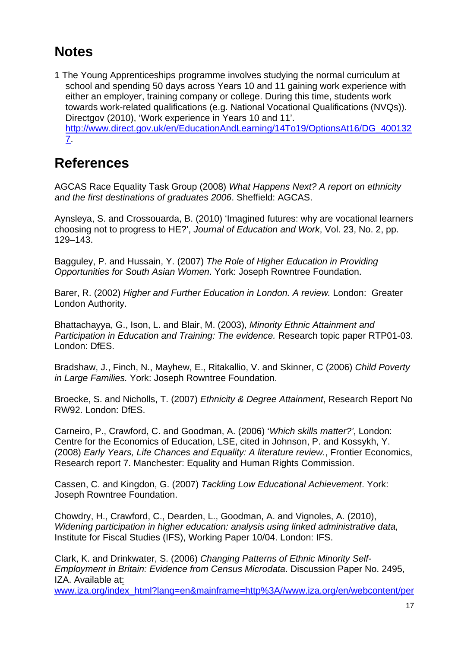# **Notes**

1 The Young Apprenticeships programme involves studying the normal curriculum at school and spending 50 days across Years 10 and 11 gaining work experience with either an employer, training company or college. During this time, students work towards work-related qualifications (e.g. National Vocational Qualifications (NVQs)). Directgov (2010), 'Work experience in Years 10 and 11'. [http://www.direct.gov.uk/en/EducationAndLearning/14To19/OptionsAt16/DG\\_400132](http://www.direct.gov.uk/en/EducationAndLearning/14To19/OptionsAt16/DG_4001327) [7.](http://www.direct.gov.uk/en/EducationAndLearning/14To19/OptionsAt16/DG_4001327)

### **References**

AGCAS Race Equality Task Group (2008) *What Happens Next? A report on ethnicity and the first destinations of graduates 2006*. Sheffield: AGCAS.

Aynsleya, S. and Crossouarda, B. (2010) 'Imagined futures: why are vocational learners choosing not to progress to HE?', *Journal of Education and Work*, Vol. 23, No. 2, pp. 129–143.

Bagguley, P. and Hussain, Y. (2007) *The Role of Higher Education in Providing Opportunities for South Asian Women*. York: Joseph Rowntree Foundation.

Barer, R. (2002) *Higher and Further Education in London. A review.* London: Greater London Authority.

Bhattachayya, G., Ison, L. and Blair, M. (2003), *Minority Ethnic Attainment and Participation in Education and Training: The evidence.* Research topic paper RTP01-03. London: DfES.

Bradshaw, J., Finch, N., Mayhew, E., Ritakallio, V. and Skinner, C (2006) *Child Poverty in Large Families.* York: Joseph Rowntree Foundation.

Broecke, S. and Nicholls, T. (2007) *Ethnicity & Degree Attainment*, Research Report No RW92. London: DfES.

Carneiro, P., Crawford, C. and Goodman, A. (2006) '*Which skills matter?'*, London: Centre for the Economics of Education, LSE, cited in Johnson, P. and Kossykh, Y. (2008) *Early Years, Life Chances and Equality: A literature review.*, Frontier Economics, Research report 7. Manchester: Equality and Human Rights Commission.

Cassen, C. and Kingdon, G. (2007) *Tackling Low Educational Achievement*. York: Joseph Rowntree Foundation.

Chowdry, H., Crawford, C., Dearden, L., Goodman, A. and Vignoles, A. (2010), *Widening participation in higher education: analysis using linked administrative data,*  Institute for Fiscal Studies (IFS), Working Paper 10/04. London: IFS.

Clark, K. and Drinkwater, S. (2006) *Changing Patterns of Ethnic Minority Self-Employment in Britain: Evidence from Census Microdata*. Discussion Paper No. 2495, IZA. Available at:

[www.iza.org/index\\_html?lang=en&mainframe=http%3A//www.iza.org/en/webcontent/per](http://www.iza.org/index_html?lang=en&mainframe=http%3A//www.iza.org/en/webcontent/personnel/photos/index_html%3Fkey%3D1581&topSelect=personnel&subSelect=fellows)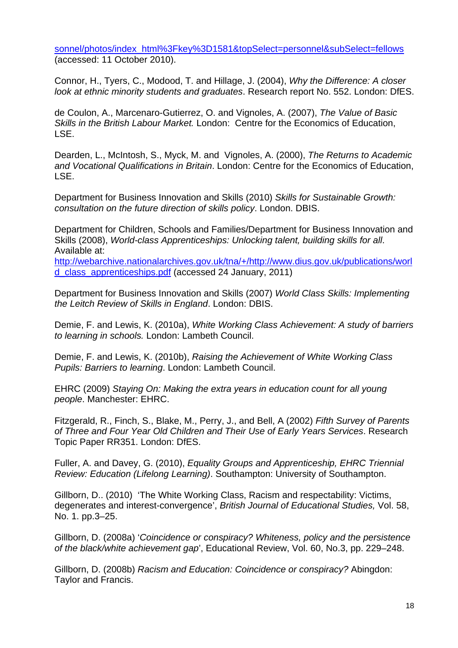[sonnel/photos/index\\_html%3Fkey%3D1581&topSelect=personnel&subSelect=fellows](http://www.iza.org/index_html?lang=en&mainframe=http%3A//www.iza.org/en/webcontent/personnel/photos/index_html%3Fkey%3D1581&topSelect=personnel&subSelect=fellows) (accessed: 11 October 2010).

Connor, H., Tyers, C., Modood, T. and Hillage, J. (2004), *Why the Difference: A closer look at ethnic minority students and graduates*. Research report No. 552. London: DfES.

de Coulon, A., Marcenaro-Gutierrez, O. and Vignoles, A. (2007), *The Value of Basic Skills in the British Labour Market.* London: Centre for the Economics of Education, LSE.

Dearden, L., McIntosh, S., Myck, M. and Vignoles, A. (2000), *The Returns to Academic and Vocational Qualifications in Britain*. London: Centre for the Economics of Education, LSE.

Department for Business Innovation and Skills (2010) *Skills for Sustainable Growth: consultation on the future direction of skills policy*. London. DBIS.

Department for Children, Schools and Families/Department for Business Innovation and Skills (2008), *World-class Apprenticeships: Unlocking talent, building skills for all*. Available at:

[http://webarchive.nationalarchives.gov.uk/tna/+/http://www.dius.gov.uk/publications/worl](http://webarchive.nationalarchives.gov.uk/tna/+/http://www.dius.gov.uk/publications/world_class_apprenticeships.pdf) [d\\_class\\_apprenticeships.pdf](http://webarchive.nationalarchives.gov.uk/tna/+/http://www.dius.gov.uk/publications/world_class_apprenticeships.pdf) (accessed 24 January, 2011)

Department for Business Innovation and Skills (2007) *World Class Skills: Implementing the Leitch Review of Skills in England*. London: DBIS.

Demie, F. and Lewis, K. (2010a), *White Working Class Achievement: A study of barriers to learning in schools.* London: Lambeth Council.

Demie, F. and Lewis, K. (2010b), *Raising the Achievement of White Working Class Pupils: Barriers to learning*. London: Lambeth Council.

EHRC (2009) *Staying On: Making the extra years in education count for all young people*. Manchester: EHRC.

Fitzgerald, R., Finch, S., Blake, M., Perry, J., and Bell, A (2002) *Fifth Survey of Parents of Three and Four Year Old Children and Their Use of Early Years Services*. Research Topic Paper RR351. London: DfES.

Fuller, A. and Davey, G. (2010), *Equality Groups and Apprenticeship, EHRC Triennial Review: Education (Lifelong Learning)*. Southampton: University of Southampton.

Gillborn, D.. (2010) 'The White Working Class, Racism and respectability: Victims, degenerates and interest-convergence', *British Journal of Educational Studies,* Vol. 58, No. 1. pp.3–25.

Gillborn, D. (2008a) '*Coincidence or conspiracy? Whiteness, policy and the persistence of the black/white achievement gap*', Educational Review, Vol. 60, No.3, pp. 229–248.

Gillborn, D. (2008b) *Racism and Education: Coincidence or conspiracy?* Abingdon: Taylor and Francis.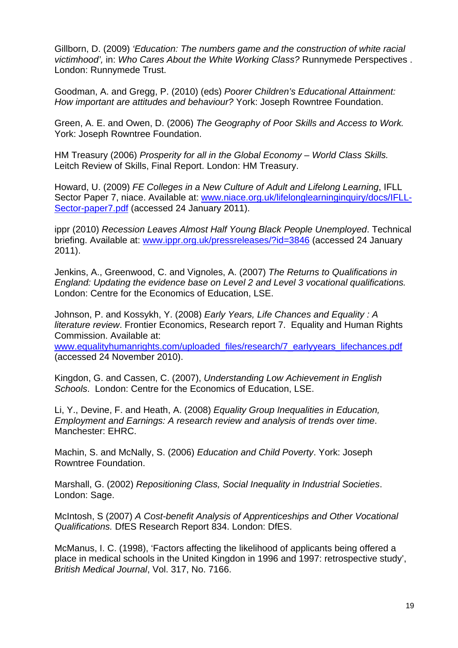Gillborn, D. (2009) *'Education: The numbers game and the construction of white racial victimhood',* in: *Who Cares About the White Working Class?* Runnymede Perspectives . London: Runnymede Trust.

Goodman, A. and Gregg, P. (2010) (eds) *Poorer Children's Educational Attainment: How important are attitudes and behaviour?* York: Joseph Rowntree Foundation.

Green, A. E. and Owen, D. (2006) *The Geography of Poor Skills and Access to Work.*  York: Joseph Rowntree Foundation.

HM Treasury (2006) *Prosperity for all in the Global Economy – World Class Skills.*  Leitch Review of Skills, Final Report. London: HM Treasury.

Howard, U. (2009) *FE Colleges in a New Culture of Adult and Lifelong Learning*, IFLL Sector Paper 7, niace. Available at: [www.niace.org.uk/lifelonglearninginquiry/docs/IFLL-](http://www.niace.org.uk/lifelonglearninginquiry/docs/IFLL-Sector-paper7.pdf)[Sector-paper7.pdf](http://www.niace.org.uk/lifelonglearninginquiry/docs/IFLL-Sector-paper7.pdf) (accessed 24 January 2011).

ippr (2010) *Recession Leaves Almost Half Young Black People Unemployed*. Technical briefing. Available at: [www.ippr.org.uk/pressreleases/?id=3846](http://www.ippr.org.uk/pressreleases/?id=3846) (accessed 24 January 2011).

Jenkins, A., Greenwood, C. and Vignoles, A. (2007) *The Returns to Qualifications in England: Updating the evidence base on Level 2 and Level 3 vocational qualifications.*  London: Centre for the Economics of Education, LSE.

Johnson, P. and Kossykh, Y. (2008) *Early Years, Life Chances and Equality : A literature review*. Frontier Economics, Research report 7. Equality and Human Rights Commission. Available at:

[www.equalityhumanrights.com/uploaded\\_files/research/7\\_earlyyears\\_lifechances.pdf](http://www.equalityhumanrights.com/uploaded_files/research/7_earlyyears_lifechances.pdf) (accessed 24 November 2010).

Kingdon, G. and Cassen, C. (2007), *Understanding Low Achievement in English Schools*. London: Centre for the Economics of Education, LSE.

Li, Y., Devine, F. and Heath, A. (2008) *Equality Group Inequalities in Education, Employment and Earnings: A research review and analysis of trends over time*. Manchester: EHRC.

Machin, S. and McNally, S. (2006) *Education and Child Poverty*. York: Joseph Rowntree Foundation.

Marshall, G. (2002) *Repositioning Class, Social Inequality in Industrial Societies*. London: Sage.

McIntosh, S (2007) *A Cost-benefit Analysis of Apprenticeships and Other Vocational Qualifications.* DfES Research Report 834. London: DfES.

McManus, I. C. (1998), 'Factors affecting the likelihood of applicants being offered a place in medical schools in the United Kingdon in 1996 and 1997: retrospective study', *British Medical Journal*, Vol. 317, No. 7166.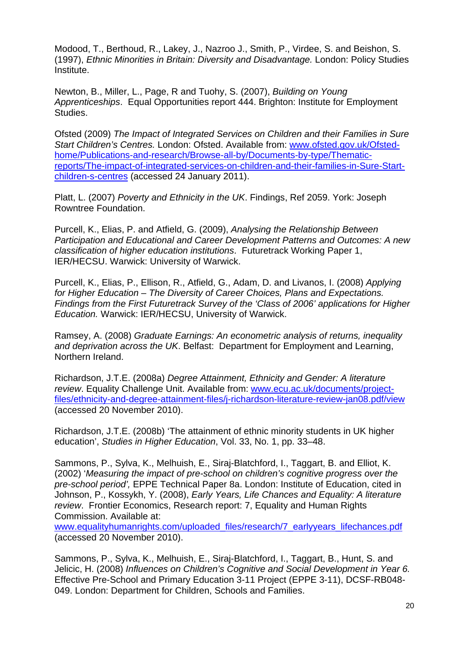Modood, T., Berthoud, R., Lakey, J., Nazroo J., Smith, P., Virdee, S. and Beishon, S. (1997), *Ethnic Minorities in Britain: Diversity and Disadvantage.* London: Policy Studies Institute.

Newton, B., Miller, L., Page, R and Tuohy, S. (2007), *Building on Young Apprenticeships*. Equal Opportunities report 444. Brighton: Institute for Employment Studies.

Ofsted (2009) *The Impact of Integrated Services on Children and their Families in Sure Start Children's Centres.* London: Ofsted. Available from: [www.ofsted.gov.uk/Ofsted](http://www.ofsted.gov.uk/Ofsted-home/Publications-and-research/Browse-all-by/Documents-by-type/Thematic-reports/The-impact-of-integrated-services-on-children-and-their-families-in-Sure-Start-children-s-centres)[home/Publications-and-research/Browse-all-by/Documents-by-type/Thematic](http://www.ofsted.gov.uk/Ofsted-home/Publications-and-research/Browse-all-by/Documents-by-type/Thematic-reports/The-impact-of-integrated-services-on-children-and-their-families-in-Sure-Start-children-s-centres)[reports/The-impact-of-integrated-services-on-children-and-their-families-in-Sure-Start](http://www.ofsted.gov.uk/Ofsted-home/Publications-and-research/Browse-all-by/Documents-by-type/Thematic-reports/The-impact-of-integrated-services-on-children-and-their-families-in-Sure-Start-children-s-centres)[children-s-centres](http://www.ofsted.gov.uk/Ofsted-home/Publications-and-research/Browse-all-by/Documents-by-type/Thematic-reports/The-impact-of-integrated-services-on-children-and-their-families-in-Sure-Start-children-s-centres) (accessed 24 January 2011).

Platt, L. (2007) *Poverty and Ethnicity in the UK*. Findings, Ref 2059. York: Joseph Rowntree Foundation.

Purcell, K., Elias, P. and Atfield, G. (2009), *Analysing the Relationship Between Participation and Educational and Career Development Patterns and Outcomes: A new classification of higher education institutions*. Futuretrack Working Paper 1, IER/HECSU. Warwick: University of Warwick.

Purcell, K., Elias, P., Ellison, R., Atfield, G., Adam, D. and Livanos, I. (2008) *Applying for Higher Education – The Diversity of Career Choices, Plans and Expectations. Findings from the First Futuretrack Survey of the 'Class of 2006' applications for Higher Education.* Warwick: IER/HECSU, University of Warwick.

Ramsey, A. (2008) *Graduate Earnings: An econometric analysis of returns, inequality and deprivation across the UK*. Belfast: Department for Employment and Learning, Northern Ireland.

Richardson, J.T.E. (2008a) *Degree Attainment, Ethnicity and Gender: A literature review*. Equality Challenge Unit. Available from: [www.ecu.ac.uk/documents/project](http://www.ecu.ac.uk/documents/project-files/ethnicity-and-degree-attainment-files/j-richardson-literature-review-jan08.pdf/view)[files/ethnicity-and-degree-attainment-files/j-richardson-literature-review-jan08.pdf/view](http://www.ecu.ac.uk/documents/project-files/ethnicity-and-degree-attainment-files/j-richardson-literature-review-jan08.pdf/view) (accessed 20 November 2010).

Richardson, J.T.E. (2008b) 'The attainment of ethnic minority students in UK higher education', *Studies in Higher Education*, Vol. 33, No. 1, pp. 33–48.

Sammons, P., Sylva, K., Melhuish, E., Siraj-Blatchford, I., Taggart, B. and Elliot, K. (2002) '*Measuring the impact of pre-school on children's cognitive progress over the pre-school period',* EPPE Technical Paper 8a. London: Institute of Education, cited in Johnson, P., Kossykh, Y. (2008), *Early Years, Life Chances and Equality: A literature review*. Frontier Economics, Research report: 7, Equality and Human Rights Commission. Available at:

[www.equalityhumanrights.com/uploaded\\_files/research/7\\_earlyyears\\_lifechances.pdf](http://www.equalityhumanrights.com/uploaded_files/research/7_earlyyears_lifechances.pdf) (accessed 20 November 2010).

Sammons, P., Sylva, K., Melhuish, E., Siraj-Blatchford, I., Taggart, B., Hunt, S. and Jelicic, H. (2008) *Influences on Children's Cognitive and Social Development in Year 6.*  Effective Pre-School and Primary Education 3-11 Project (EPPE 3-11), DCSF-RB048- 049. London: Department for Children, Schools and Families.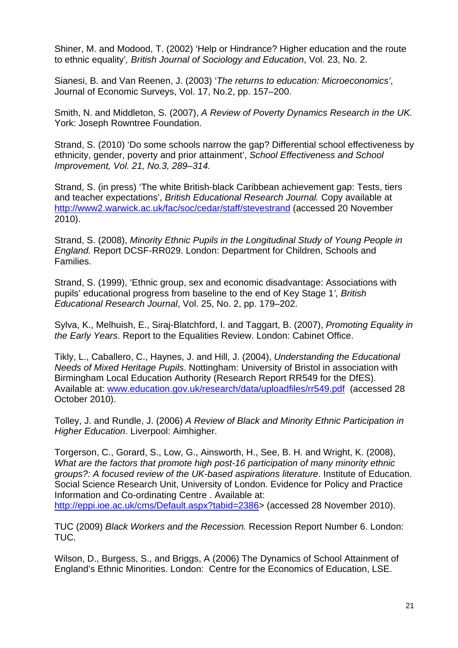Shiner, M. and Modood, T. (2002) 'Help or Hindrance? Higher education and the route to ethnic equality'*, British Journal of Sociology and Education*, Vol. 23, No. 2.

Sianesi, B. and Van Reenen, J. (2003) '*The returns to education: Microeconomics'*, Journal of Economic Surveys, Vol. 17, No.2, pp. 157–200.

Smith, N. and Middleton, S. (2007), *A Review of Poverty Dynamics Research in the UK.*  York: Joseph Rowntree Foundation.

Strand, S. (2010) 'Do some schools narrow the gap? Differential school effectiveness by ethnicity, gender, poverty and prior attainment', *School Effectiveness and School Improvement, Vol. 21, No.3, 289–314.* 

Strand, S. (in press) 'The white British-black Caribbean achievement gap: Tests, tiers and teacher expectations', *British Educational Research Journal.* Copy available at <http://www2.warwick.ac.uk/fac/soc/cedar/staff/stevestrand>(accessed 20 November 2010).

Strand, S. (2008), *Minority Ethnic Pupils in the Longitudinal Study of Young People in England.* Report DCSF-RR029. London: Department for Children, Schools and Families.

Strand, S. (1999), 'Ethnic group, sex and economic disadvantage: Associations with pupils' educational progress from baseline to the end of Key Stage 1*', British Educational Research Journal*, Vol. 25, No. 2, pp. 179*–*202.

Sylva, K., Melhuish, E., Siraj-Blatchford, I. and Taggart, B. (2007), *Promoting Equality in the Early Years*. Report to the Equalities Review. London: Cabinet Office.

Tikly, L., Caballero, C., Haynes, J. and Hill, J. (2004), *Understanding the Educational Needs of Mixed Heritage Pupils*. Nottingham: University of Bristol in association with Birmingham Local Education Authority (Research Report RR549 for the DfES). Available at: [www.education.gov.uk/research/data/uploadfiles/rr549.pdf](http://www.education.gov.uk/research/data/uploadfiles/rr549.pdf) (accessed 28 October 2010).

Tolley, J. and Rundle, J. (2006) *A Review of Black and Minority Ethnic Participation in Higher Education*. Liverpool: Aimhigher.

Torgerson, C., Gorard, S., Low, G., Ainsworth, H., See, B. H. and Wright, K. (2008), *What are the factors that promote high post-16 participation of many minority ethnic groups?: A focused review of the UK-based aspirations literature*. Institute of Education. Social Science Research Unit, University of London. Evidence for Policy and Practice Information and Co-ordinating Centre . Available at: [http://eppi.ioe.ac.uk/cms/Default.aspx?tabid=2386>](http://eppi.ioe.ac.uk/cms/Default.aspx?tabid=2386) (accessed 28 November 2010).

TUC (2009) *Black Workers and the Recession.* Recession Report Number 6. London: TUC.

Wilson, D., Burgess, S., and Briggs, A (2006) The Dynamics of School Attainment of England's Ethnic Minorities. London: Centre for the Economics of Education, LSE.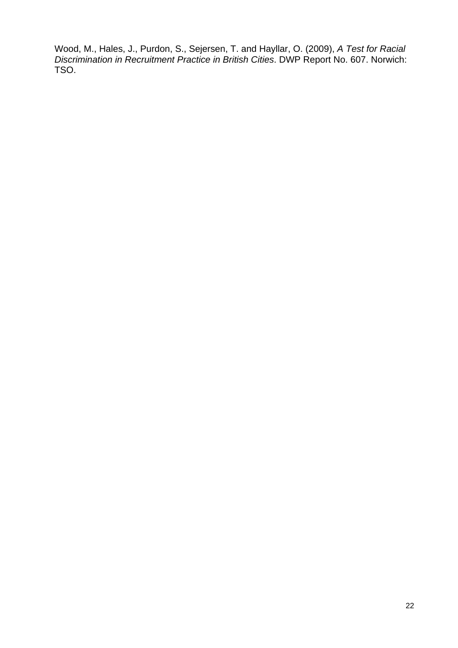Wood, M., Hales, J., Purdon, S., Sejersen, T. and Hayllar, O. (2009), *A Test for Racial Discrimination in Recruitment Practice in British Cities*. DWP Report No. 607. Norwich: TSO.